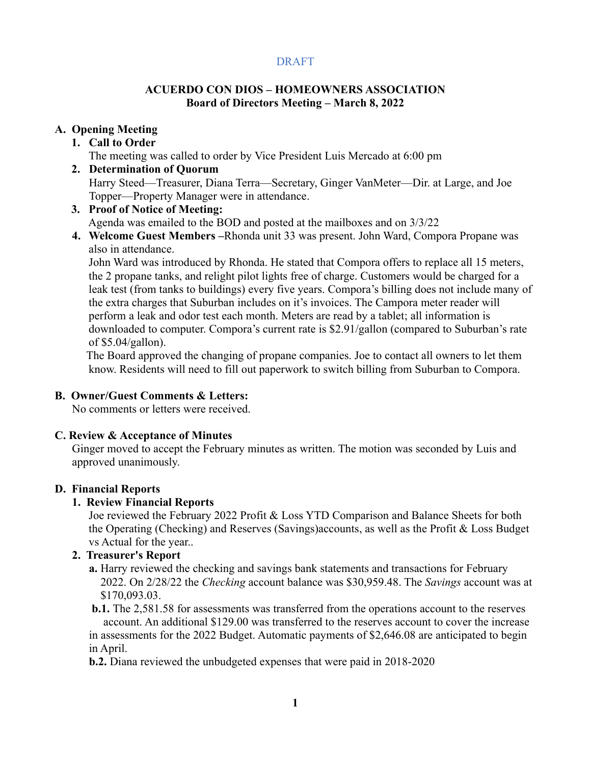#### DRAFT

#### **ACUERDO CON DIOS – HOMEOWNERS ASSOCIATION Board of Directors Meeting – March 8, 2022**

## **A. Opening Meeting**

## **1. Call to Order**

 The meeting was called to order by Vice President Luis Mercado at 6:00 pm **2. Determination of Quorum**

- Harry Steed—Treasurer, Diana Terra—Secretary, Ginger VanMeter—Dir. at Large, and Joe Topper—Property Manager were in attendance.
- **3. Proof of Notice of Meeting:**  Agenda was emailed to the BOD and posted at the mailboxes and on 3/3/22
- **4. Welcome Guest Members –**Rhonda unit 33 was present. John Ward, Compora Propane was also in attendance.

John Ward was introduced by Rhonda. He stated that Compora offers to replace all 15 meters, the 2 propane tanks, and relight pilot lights free of charge. Customers would be charged for a leak test (from tanks to buildings) every five years. Compora's billing does not include many of the extra charges that Suburban includes on it's invoices. The Campora meter reader will perform a leak and odor test each month. Meters are read by a tablet; all information is downloaded to computer. Compora's current rate is \$2.91/gallon (compared to Suburban's rate of \$5.04/gallon).

 The Board approved the changing of propane companies. Joe to contact all owners to let them know. Residents will need to fill out paperwork to switch billing from Suburban to Compora.

## **B. Owner/Guest Comments & Letters:**

No comments or letters were received.

#### **C. Review & Acceptance of Minutes**

Ginger moved to accept the February minutes as written. The motion was seconded by Luis and approved unanimously.

#### **D. Financial Reports**

#### **1. Review Financial Reports**

Joe reviewed the February 2022 Profit & Loss YTD Comparison and Balance Sheets for both the Operating (Checking) and Reserves (Savings)accounts, as well as the Profit & Loss Budget vs Actual for the year..

### **2. Treasurer's Report**

**a.** Harry reviewed the checking and savings bank statements and transactions for February 2022. On 2/28/22 the *Checking* account balance was \$30,959.48. The *Savings* account was at \$170,093.03.

**b.1.** The 2,581.58 for assessments was transferred from the operations account to the reserves account. An additional \$129.00 was transferred to the reserves account to cover the increase in assessments for the 2022 Budget. Automatic payments of \$2,646.08 are anticipated to begin in April.

**b.2.** Diana reviewed the unbudgeted expenses that were paid in 2018-2020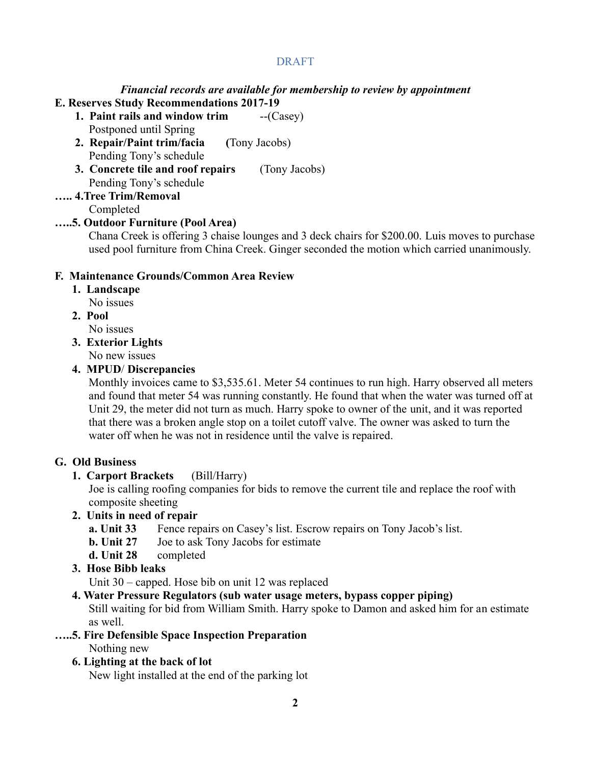### DRAFT

#### *Financial records are available for membership to review by appointment* **E. Reserves Study Recommendations 2017-19**

- **1. Paint rails and window trim** --(Casey) Postponed until Spring
- **2. Repair/Paint trim/facia (**Tony Jacobs) Pending Tony's schedule
- **3. Concrete tile and roof repairs** (Tony Jacobs) Pending Tony's schedule

## **….. 4.Tree Trim/Removal**

Completed

## **…..5. Outdoor Furniture (Pool Area)**

Chana Creek is offering 3 chaise lounges and 3 deck chairs for \$200.00. Luis moves to purchase used pool furniture from China Creek. Ginger seconded the motion which carried unanimously.

## **F. Maintenance Grounds/Common Area Review**

 **1. Landscape**

No issues

 **2. Pool**

No issues

 **3. Exterior Lights** No new issues

# **4. MPUD**/ **Discrepancies**

Monthly invoices came to \$3,535.61. Meter 54 continues to run high. Harry observed all meters and found that meter 54 was running constantly. He found that when the water was turned off at Unit 29, the meter did not turn as much. Harry spoke to owner of the unit, and it was reported that there was a broken angle stop on a toilet cutoff valve. The owner was asked to turn the water off when he was not in residence until the valve is repaired.

# **G. Old Business**

# **1. Carport Brackets** (Bill/Harry)

Joe is calling roofing companies for bids to remove the current tile and replace the roof with composite sheeting

## **2. Units in need of repair**

- **a. Unit 33** Fence repairs on Casey's list. Escrow repairs on Tony Jacob's list.
- **b. Unit 27** Joe to ask Tony Jacobs for estimate
- **d. Unit 28** completed

# **3. Hose Bibb leaks**

Unit 30 – capped. Hose bib on unit 12 was replaced

# **4. Water Pressure Regulators (sub water usage meters, bypass copper piping)**

Still waiting for bid from William Smith. Harry spoke to Damon and asked him for an estimate as well.

# **…..5. Fire Defensible Space Inspection Preparation**

Nothing new

# **6. Lighting at the back of lot**

New light installed at the end of the parking lot